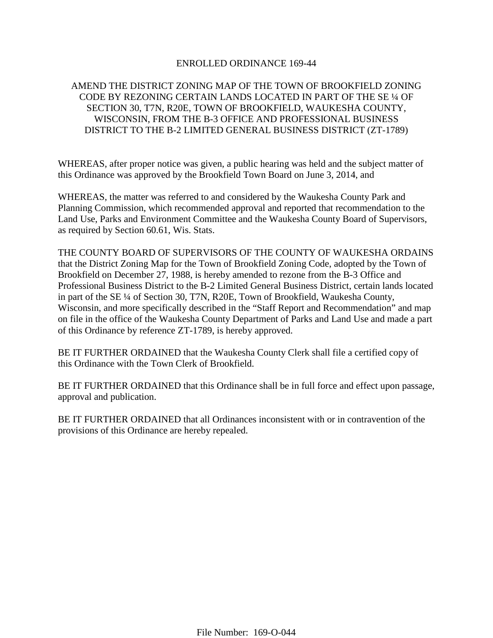## ENROLLED ORDINANCE 169-44

# AMEND THE DISTRICT ZONING MAP OF THE TOWN OF BROOKFIELD ZONING CODE BY REZONING CERTAIN LANDS LOCATED IN PART OF THE SE ¼ OF SECTION 30, T7N, R20E, TOWN OF BROOKFIELD, WAUKESHA COUNTY, WISCONSIN, FROM THE B-3 OFFICE AND PROFESSIONAL BUSINESS DISTRICT TO THE B-2 LIMITED GENERAL BUSINESS DISTRICT (ZT-1789)

WHEREAS, after proper notice was given, a public hearing was held and the subject matter of this Ordinance was approved by the Brookfield Town Board on June 3, 2014, and

WHEREAS, the matter was referred to and considered by the Waukesha County Park and Planning Commission, which recommended approval and reported that recommendation to the Land Use, Parks and Environment Committee and the Waukesha County Board of Supervisors, as required by Section 60.61, Wis. Stats.

THE COUNTY BOARD OF SUPERVISORS OF THE COUNTY OF WAUKESHA ORDAINS that the District Zoning Map for the Town of Brookfield Zoning Code, adopted by the Town of Brookfield on December 27, 1988, is hereby amended to rezone from the B-3 Office and Professional Business District to the B-2 Limited General Business District, certain lands located in part of the SE ¼ of Section 30, T7N, R20E, Town of Brookfield, Waukesha County, Wisconsin, and more specifically described in the "Staff Report and Recommendation" and map on file in the office of the Waukesha County Department of Parks and Land Use and made a part of this Ordinance by reference ZT-1789, is hereby approved.

BE IT FURTHER ORDAINED that the Waukesha County Clerk shall file a certified copy of this Ordinance with the Town Clerk of Brookfield.

BE IT FURTHER ORDAINED that this Ordinance shall be in full force and effect upon passage, approval and publication.

BE IT FURTHER ORDAINED that all Ordinances inconsistent with or in contravention of the provisions of this Ordinance are hereby repealed.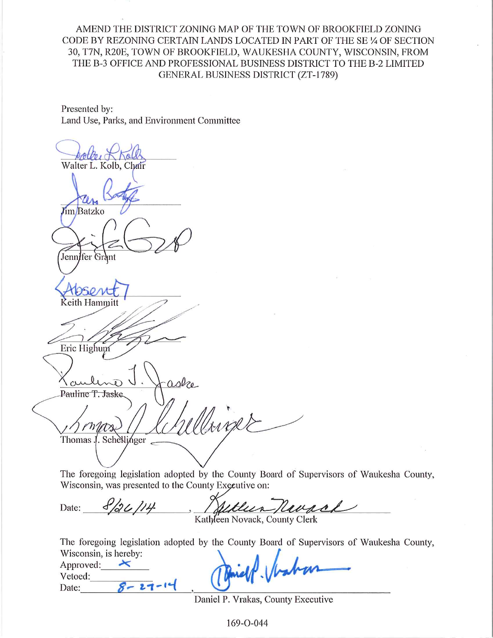AMEND THE DISTRICT ZONING MAP OF THE TOWN OF BROOKFIELD ZONING CODE BY REZONING CERTAIN LANDS LOCATED IN PART OF THE SE 1/4 OF SECTION 30, T7N, R20E, TOWN OF BROOKFIELD, WAUKESHA COUNTY, WISCONSIN, FROM THE B-3 OFFICE AND PROFESSIONAL BUSINESS DISTRICT TO THE B-2 LIMITED **GENERAL BUSINESS DISTRICT (ZT-1789)** 

Presented by: Land Use, Parks, and Environment Committee

Walter L. Kolb, Chair *I*im/Batzko Jennifer Grant eith Hammitt Eric Highum aske Pauline T. Jaske work Thomas J . Schellinger

The foregoing legislation adopted by the County Board of Supervisors of Waukesha County, Wisconsin, was presented to the County Executive on:

8/26/14 uvrch Date:  $\mathcal{L}_{\mathcal{L}}$ Kathleen Novack, County Clerk

The foregoing legislation adopted by the County Board of Supervisors of Waukesha County,

| wisconsin, is nereby: |             |  |
|-----------------------|-------------|--|
| Approved:             |             |  |
| Vetoed:               | Diet Vraban |  |
| Date:                 |             |  |

Daniel P. Vrakas, County Executive

169-0-044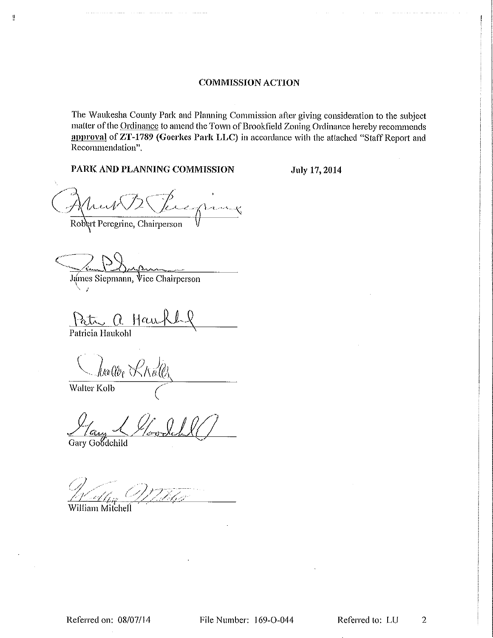The Waukesha County Park and Planning Commission after giving consideration to the subject matter of the Ordinance to amend the Town of Brookfield Zoning Ordinance hereby recommends approval of ZT-1789 (Goerkes Park LLC) in accordance with the attached "Staff Report and Recommendation".

## PARK AND PLANNING COMMISSION

July 17, 2014

Leglang

Robert Peregrine, Chairperson

James Siepmann, Vice Chairperson

Patr a Hau

Patricia Haukohl

 $\frac{11}{2}$ 

Jualler KKall

Walter Kolb

Gary Goodchild

William Mitchell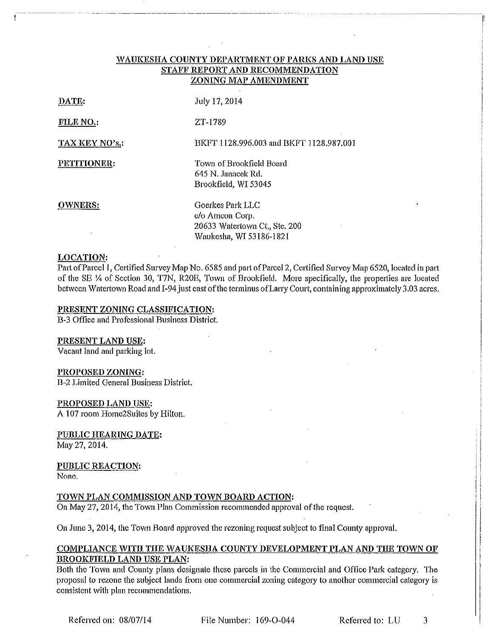### WAUKESHA COUNTY DEPARTMENT OF PARKS AND LAND USE STAFF REPORT AND RECOMMENDATION ZONING MAP AMENDMENT

| DATE:          | July 17, 2014                                                                                   |
|----------------|-------------------------------------------------------------------------------------------------|
| FILE NO.:      | ZT-1789                                                                                         |
| TAX KEY NO's.: | BKFT 1128.996.003 and BKFT 1128.987.001                                                         |
| PETITIONER:    | Town of Brookfield Board<br>645 N. Janacek Rd.<br>Brookfield, WI 53045                          |
| <b>OWNERS:</b> | Goerkes Park LLC<br>c/o Ameon Corp.<br>20633 Watertown Ct., Ste. 200<br>Waukesha. WI 53186-1821 |

#### **LOCATION:**

Part of Parcel 1, Certified Survey Map No. 6585 and part of Parcel 2, Certified Survey Map 6520, located in part of the SE 1⁄4 of Section 30, T7N, R20E, Town of Brookfield. More specifically, the properties are located between Watertown Road and I-94 just east of the terminus of Larry Court, containing approximately 3.03 acres.

### PRESENT ZONING CLASSIFICATION:

B-3 Office and Professional Business District.

<u>PRESENT LAND USE:</u>

Vacant land and parking lot.

#### PROPOSED ZONING:

B-2 Limited General Business District.

PROPOSED LAND USE: A 107 room Home2Suites by Hilton.

PUBLIC HEARING DATE: May 27, 2014.

PUBLIC REACTION: None.

## TOWN PLAN COMMISSION AND TOWN BOARD ACTION:

On May 27, 2014, the Town Plan Commission recommended approval of the request.

On June 3, 2014, the Town Board approved the rezoning request subject to final County approval.

### **COMPLIANCE WITH THE WAUKESHA COUNTY DEVELOPMENT PLAN AND THE TOWN OF** BROOKFIELD LAND USE PLAN:

Both the Town and County plans designate these parcels in the Commercial and Office Park category. The proposal to rezone the subject lands from one commercial zoning category to another commercial category is consistent with plan recommendations.

File Number: 169-O-044

Referred to: LU 3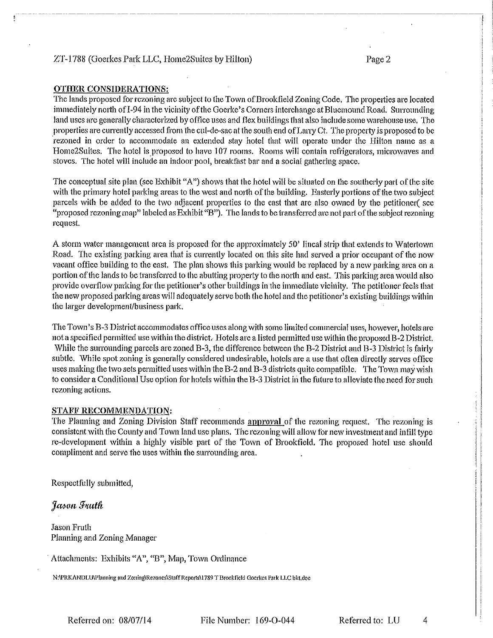### ZT-1788 (Goerkes Park LLC, Home2Suites by Hilton)

### **OTHER CONSIDERATIONS:**

The lands proposed for rezoning are subject to the Town of Brookfield Zoning Code. The properties are located immediately north of I-94 in the vicinity of the Goerke's Corners interchange at Bluemound Road. Surrounding land uses are generally characterized by office uses and flex buildings that also include some warehouse use. The properties are currently accessed from the cul-de-sac at the south end of Larry Ct. The property is proposed to be rezoned in order to accommodate an extended stay hotel that will operate under the Hilton name as a Home2Suites. The hotel is proposed to have 107 rooms. Rooms will contain refrigerators, microwaves and stoves. The hotel will include an indoor pool, breakfast bar and a social gathering space.

The conceptual site plan (see Exhibit "A") shows that the hotel will be situated on the southerly part of the site with the primary hotel parking areas to the west and north of the building. Easterly portions of the two subject parcels with be added to the two adjacent properties to the east that are also owned by the petitioner (see "proposed rezoning map" labeled as Exhibit "B"). The lands to be transferred are not part of the subject rezoning request.

A storm water management area is proposed for the approximately 50' lineal strip that extends to Watertown Road. The existing parking area that is currently located on this site had served a prior occupant of the now vacant office building to the east. The plan shows this parking would be replaced by a new parking area on a portion of the lands to be transferred to the abutting property to the north and east. This parking area would also provide overflow parking for the petitioner's other buildings in the immediate vicinity. The petitioner feels that the new proposed parking areas will adequately serve both the hotel and the petitioner's existing buildings within the larger development/business park,

The Town's B-3 District accommodates office uses along with some limited commercial uses, however, hotels are not a specified permitted use within the district. Hotels are a listed permitted use within the proposed B-2 District. While the surrounding parcels are zoned B-3, the difference between the B-2 District and B-3 District is fairly subtle. While spot zoning is generally considered undesirable, hotels are a use that often directly serves office uses making the two sets permitted uses within the B-2 and B-3 districts quite compatible. The Town may wish to consider a Conditional Use option for hotels within the B-3 District in the future to alleviate the need for such rezoning actions.

#### STAFF RECOMMENDATION:

The Planning and Zoning Division Staff recommends approval of the rezoning request. The rezoning is consistent with the County and Town land use plans. The rezoning will allow for new investment and infill type re-development within a highly visible part of the Town of Brookfield. The proposed hotel use should compliment and serve the uses within the surrounding area.

Respectfully submitted,

Jason Fruth

**Jason Fruth** Planning and Zoning Manager

Attachments: Exhibits "A", "B", Map, Town Ordinance

N:\PRKANDLU\Planning and Zoning\Rezones\Staff Reports\1789 T Brookfield Goerkes Park LLC bkt.doc

Referred on: 08/07/14

File Number: 169-O-044

Referred to: LU

 $\overline{4}$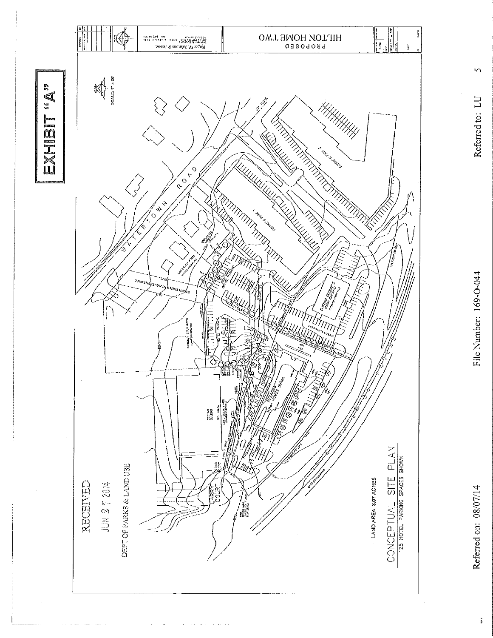

 $\sim$   $\sim$ 

Referred on: 08/07/14

 $\ddot{\tilde{\mathbf{p}}}$ 

File Number: 169-O-044

 $\Omega$ 

Referred to: LU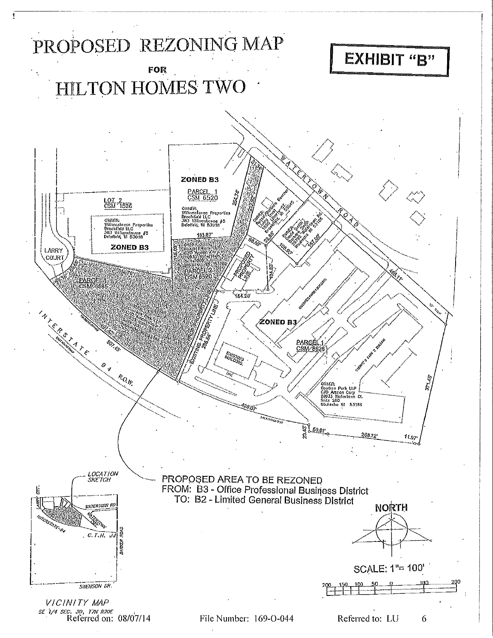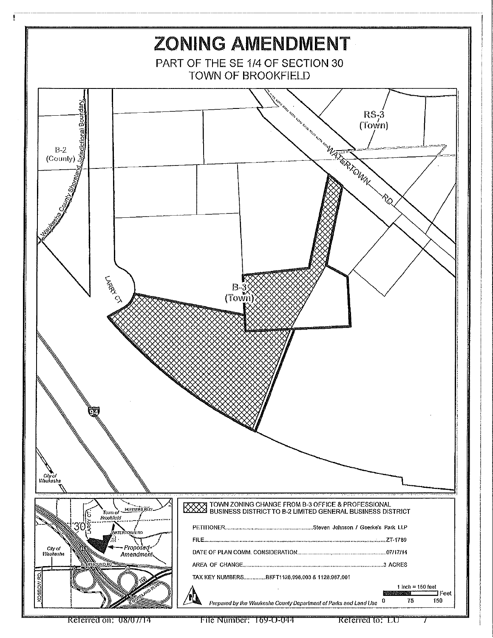

 $\frac{1}{2}$ 

File Number: 169-0-044

Referred to: LU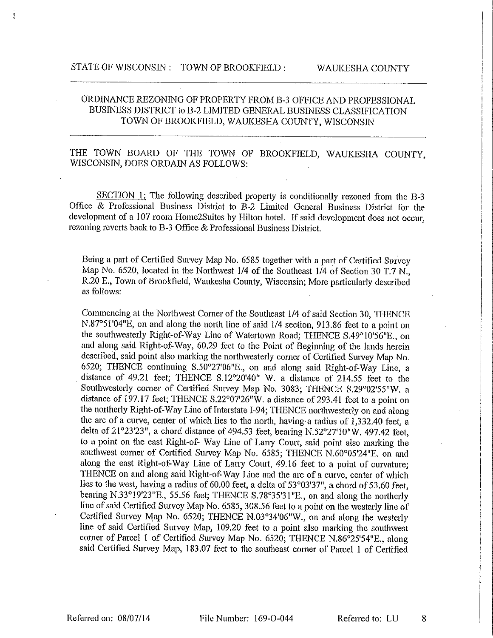## ORDINANCE REZONING OF PROPERTY FROM B-3 OFFICE AND PROFESSIONAL BUSINESS DISTRICT to B-2 LIMITED GENERAL BUSINESS CLASSIFICATION TOWN OF BROOKFIELD, WAUKESHA COUNTY, WISCONSIN

# THE TOWN BOARD OF THE TOWN OF BROOKFIELD, WAUKESHA COUNTY, WISCONSIN, DOES ORDAIN AS FOLLOWS:

SECTION 1: The following described property is conditionally rezoned from the B-3 Office & Professional Business District to B-2 Limited General Business District for the development of a 107 room Home2Suites by Hilton hotel. If said development does not occur, rezoning reverts back to B-3 Office & Professional Business District.

Being a part of Certified Survey Map No. 6585 together with a part of Certified Survey Map No. 6520, located in the Northwest 1/4 of the Southeast 1/4 of Section 30 T.7 N. R.20 E., Town of Brookfield, Waukesha County, Wisconsin; More particularly described as follows:

Commencing at the Northwest Corner of the Southeast 1/4 of said Section 30, THENCE N.87°51'04"E, on and along the north line of said 1/4 section, 913.86 feet to a point on the southwesterly Right-of-Way Line of Watertown Road; THENCE S.49°10'56"E., on and along said Right-of-Way, 60.29 feet to the Point of Beginning of the lands herein described, said point also marking the northwesterly corner of Certified Survey Map No. 6520; THENCE continuing S.50°27'06"E., on and along said Right-of-Way Line, a distance of 49.21 feet; THENCE S.12°20'40" W. a distance of 214.55 feet to the Southwesterly corner of Certified Survey Map No. 3083; THENCE S.29°02'55"W. a distance of 197.17 feet; THENCE S.22°07'26"W. a distance of 293.41 feet to a point on the northerly Right-of-Way Line of Interstate I-94; THENCE northwesterly on and along the arc of a curve, center of which lies to the north, having a radius of 1,332.40 feet, a delta of 21°23'23", a chord distance of 494.53 feet, bearing N.52°27'10"W. 497.42 feet, to a point on the east Right-of-Way Line of Larry Court, said point also marking the southwest corner of Certified Survey Map No. 6585; THENCE N.60°05'24"E. on and along the east Right-of-Way Line of Larry Court, 49.16 feet to a point of curvature; THENCE on and along said Right-of-Way Line and the arc of a curve, center of which lies to the west, having a radius of 60.00 feet, a delta of 53°03'37", a chord of 53.60 feet, bearing N.33°19'23"E., 55.56 feet; THENCE S.78°35'31"E., on and along the northerly line of said Certified Survey Map No. 6585, 308.56 feet to a point on the westerly line of Certified Survey Map No. 6520; THENCE N.03°34'06"W., on and along the westerly line of said Certified Survey Map, 109.20 feet to a point also marking the southwest corner of Parcel 1 of Certified Survey Map No. 6520; THENCE N.86°25'54"E., along said Certified Survey Map, 183.07 feet to the southeast corner of Parcel 1 of Certified

Referred to: LU

8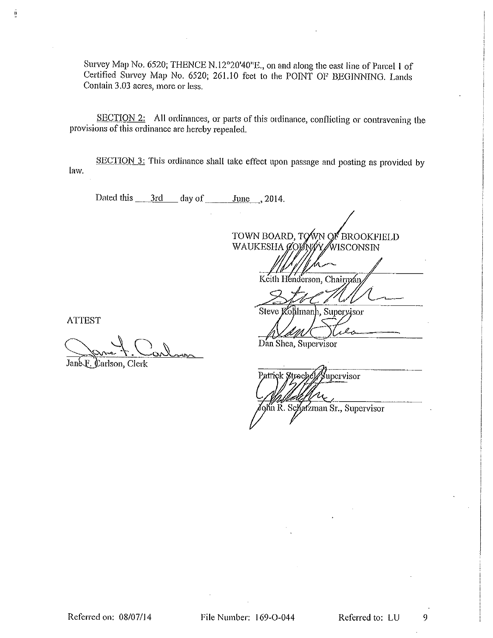Survey Map No. 6520; THENCE N.12°20'40"E., on and along the east line of Parcel 1 of Certified Survey Map No. 6520; 261.10 feet to the POINT OF BEGINNING. Lands Contain 3.03 acres, more or less.

SECTION 2: All ordinances, or parts of this ordinance, conflicting or contravening the provisions of this ordinance are hereby repealed.

SECTION 3: This ordinance shall take effect upon passage and posting as provided by law.

TOWN BOARD, TOWN OF BROOKFIELD WAUKESHA ØOØNØY WISCONSIN

Keith Henderson, Chairman

Steve Kollmanh, Superyjsor

**ATTEST** 

ğ

Jane F. Carlson, Clerk

Dan Shea, Supervisor

Patrick Streebe yupervisor

ohn R. Schatzman Sr., Supervisor

Referred on: 08/07/14

File Number: 169-O-044

Referred to: LU

9